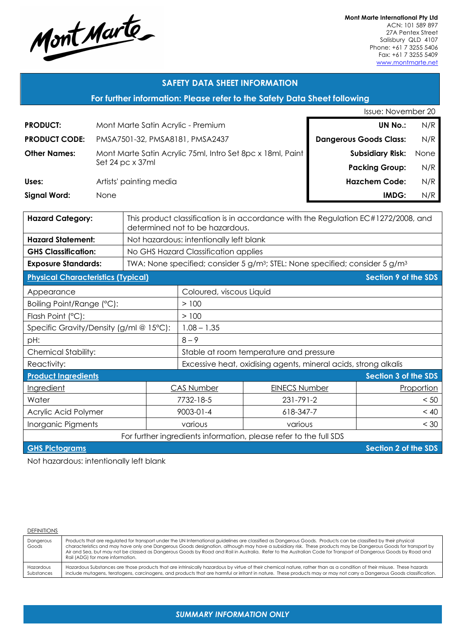

**Mont Marte International Pty Ltd** ACN: 101 589 897 27A Pentex Street Salisbury QLD 4107 Phone: +61 7 3255 5406 Fax: +61 7 3255 5409 www.montmarte.net

## **SAFETY DATA SHEET INFORMATION**

**For further information: Please refer to the Safety Data Sheet following**

|                      |                                                            | Issue: November 20            |      |
|----------------------|------------------------------------------------------------|-------------------------------|------|
| <b>PRODUCT:</b>      | Mont Marte Satin Acrylic - Premium                         | <b>UN No.:</b>                | N/R  |
| <b>PRODUCT CODE:</b> | PMSA7501-32, PMSA8181, PMSA2437                            | <b>Dangerous Goods Class:</b> | N/R  |
| <b>Other Names:</b>  | Mont Marte Satin Acrylic 75ml, Intro Set 8pc x 18ml, Paint | <b>Subsidiary Risk:</b>       | None |
|                      | Set 24 pc x 37ml                                           | <b>Packing Group:</b>         | N/R  |
| Uses:                | Artists' painting media                                    | <b>Hazchem Code:</b>          | N/R  |
| <b>Signal Word:</b>  | <b>None</b>                                                | IMDG:                         | N/R  |
|                      |                                                            |                               |      |

| <b>Hazard Category:</b>                                           | This product classification is in accordance with the Regulation EC#1272/2008, and<br>determined not to be hazardous. |                                                                 |                      |                      |  |
|-------------------------------------------------------------------|-----------------------------------------------------------------------------------------------------------------------|-----------------------------------------------------------------|----------------------|----------------------|--|
| <b>Hazard Statement:</b>                                          | Not hazardous: intentionally left blank                                                                               |                                                                 |                      |                      |  |
| <b>GHS Classification:</b>                                        | No GHS Hazard Classification applies                                                                                  |                                                                 |                      |                      |  |
| <b>Exposure Standards:</b>                                        | TWA: None specified; consider 5 g/m <sup>3</sup> ; STEL: None specified; consider 5 g/m <sup>3</sup>                  |                                                                 |                      |                      |  |
| <b>Physical Characteristics (Typical)</b>                         |                                                                                                                       |                                                                 |                      | Section 9 of the SDS |  |
| Appearance                                                        |                                                                                                                       | Coloured, viscous Liquid                                        |                      |                      |  |
| Boiling Point/Range (°C):                                         |                                                                                                                       | >100                                                            |                      |                      |  |
| Flash Point (°C):                                                 |                                                                                                                       | >100                                                            |                      |                      |  |
| Specific Gravity/Density (g/ml @ 15°C):                           |                                                                                                                       | $1.08 - 1.35$                                                   |                      |                      |  |
| pH:                                                               |                                                                                                                       | $8 - 9$                                                         |                      |                      |  |
| <b>Chemical Stability:</b>                                        |                                                                                                                       | Stable at room temperature and pressure                         |                      |                      |  |
| Reactivity:                                                       |                                                                                                                       | Excessive heat, oxidising agents, mineral acids, strong alkalis |                      |                      |  |
| <b>Product Ingredients</b>                                        |                                                                                                                       |                                                                 | Section 3 of the SDS |                      |  |
| <b>Ingredient</b>                                                 | <b>CAS Number</b>                                                                                                     |                                                                 | <b>EINECS Number</b> | Proportion           |  |
| Water                                                             | 7732-18-5                                                                                                             |                                                                 | 231-791-2            | < 50                 |  |
| Acrylic Acid Polymer                                              | 9003-01-4                                                                                                             |                                                                 | 618-347-7            | < 40                 |  |
| Inorganic Pigments                                                |                                                                                                                       | various<br>various                                              |                      | < 30                 |  |
| For further ingredients information intense refer to the full SDS |                                                                                                                       |                                                                 |                      |                      |  |

further ingredients intormation, please

**GHS Pictograms Section 2 of the SDS** 

Not hazardous: intentionally left blank

#### DEFINITIONS

| Dangerous<br>Goods | Products that are regulated for transport under the UN International guidelines are classified as Dangerous Goods. Products can be classified by their physical<br>characteristics and may have only one Dangerous Goods designation, although may have a subsidiary risk. These products may be Dangerous Goods for transport by<br>Air and Sea, but may not be classed as Dangerous Goods by Road and Rail in Australia. Refer to the Australian Code for Transport of Dangerous Goods by Road and<br>Rail (ADG) for more information. |
|--------------------|------------------------------------------------------------------------------------------------------------------------------------------------------------------------------------------------------------------------------------------------------------------------------------------------------------------------------------------------------------------------------------------------------------------------------------------------------------------------------------------------------------------------------------------|
| Hazardous          | Hazardous Substances are those products that are intrinsically hazardous by virtue of their chemical nature, rather than as a condition of their misuse. These hazards                                                                                                                                                                                                                                                                                                                                                                   |
| Substances         | include mutagens, teratogens, carcinogens, and products that are harmful or irritant in nature. These products may or may not carry a Dangerous Goods classification.                                                                                                                                                                                                                                                                                                                                                                    |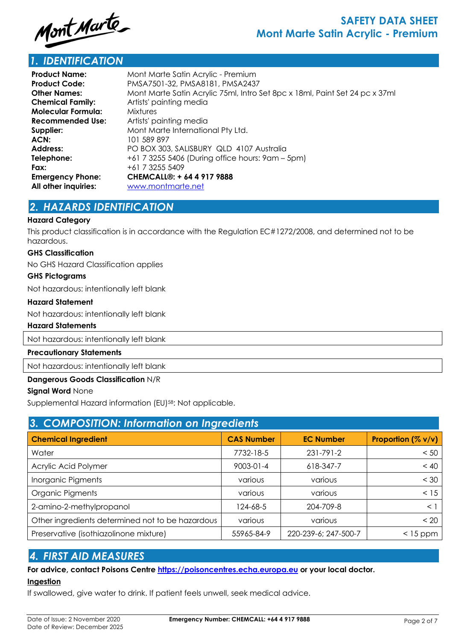

# *1. IDENTIFICATION*

| <b>Product Name:</b>      | Mont Marte Satin Acrylic - Premium                                          |
|---------------------------|-----------------------------------------------------------------------------|
| <b>Product Code:</b>      | PMSA7501-32, PMSA8181, PMSA2437                                             |
| <b>Other Names:</b>       | Mont Marte Satin Acrylic 75ml, Intro Set 8pc x 18ml, Paint Set 24 pc x 37ml |
| <b>Chemical Family:</b>   | Artists' painting media                                                     |
| <b>Molecular Formula:</b> | <b>Mixtures</b>                                                             |
| <b>Recommended Use:</b>   | Artists' painting media                                                     |
| Supplier:                 | Mont Marte International Pty Ltd.                                           |
| ACN:                      | 101 589 897                                                                 |
| <b>Address:</b>           | PO BOX 303, SALISBURY QLD 4107 Australia                                    |
| Telephone:                | +61 7 3255 5406 (During office hours: 9am - 5pm)                            |
| Fax:                      | +61 7 3255 5409                                                             |
| <b>Emergency Phone:</b>   | CHEMCALL®: + 64 4 917 9888                                                  |
| All other inquiries:      | www.montmarte.net                                                           |
|                           |                                                                             |

# *2. HAZARDS IDENTIFICATION*

### **Hazard Category**

This product classification is in accordance with the Regulation EC#1272/2008, and determined not to be hazardous.

#### **GHS Classification**

No GHS Hazard Classification applies

### **GHS Pictograms**

Not hazardous: intentionally left blank

### **Hazard Statement**

Not hazardous: intentionally left blank

### **Hazard Statements**

Not hazardous: intentionally left blank

#### **Precautionary Statements**

Not hazardous: intentionally left blank

## **Dangerous Goods Classification** N/R

### **Signal Word** None

Supplemental Hazard information (EU)58: Not applicable.

| 3. COMPOSITION: Information on Ingredients       |                   |                      |                       |  |  |  |
|--------------------------------------------------|-------------------|----------------------|-----------------------|--|--|--|
| <b>Chemical Ingredient</b>                       | <b>CAS Number</b> | <b>EC Number</b>     | Proportion $(\% v/v)$ |  |  |  |
| Water                                            | 7732-18-5         | 231-791-2            | < 50                  |  |  |  |
| Acrylic Acid Polymer                             | $9003 - 01 - 4$   | 618-347-7            | < 40                  |  |  |  |
| Inorganic Pigments                               | various           | various              | $<$ 30                |  |  |  |
| Organic Pigments                                 | various           | various              | < 15                  |  |  |  |
| 2-amino-2-methylpropanol                         | 124-68-5          | 204-709-8            | $\leq$ 1              |  |  |  |
| Other ingredients determined not to be hazardous | various           | various              | < 20                  |  |  |  |
| Preservative (isothiazolinone mixture)           | 55965-84-9        | 220-239-6; 247-500-7 | $<$ 15 ppm            |  |  |  |

## *4. FIRST AID MEASURES*

## **For advice, contact Poisons Centre https://poisoncentres.echa.europa.eu or your local doctor. Ingestion**

If swallowed, give water to drink. If patient feels unwell, seek medical advice.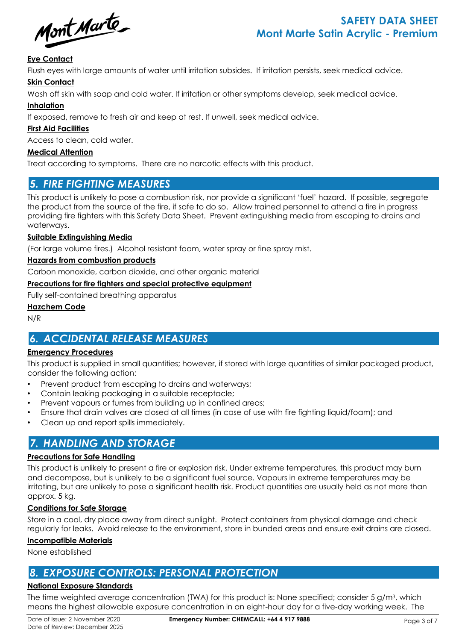Mont Marte

## **Eye Contact**

Flush eyes with large amounts of water until irritation subsides. If irritation persists, seek medical advice.

## **Skin Contact**

Wash off skin with soap and cold water. If irritation or other symptoms develop, seek medical advice.

## **Inhalation**

If exposed, remove to fresh air and keep at rest. If unwell, seek medical advice.

## **First Aid Facilities**

Access to clean, cold water.

## **Medical Attention**

Treat according to symptoms. There are no narcotic effects with this product.

## *5. FIRE FIGHTING MEASURES*

This product is unlikely to pose a combustion risk, nor provide a significant 'fuel' hazard. If possible, segregate the product from the source of the fire, if safe to do so. Allow trained personnel to attend a fire in progress providing fire fighters with this Safety Data Sheet. Prevent extinguishing media from escaping to drains and waterways.

### **Suitable Extinguishing Media**

(For large volume fires.) Alcohol resistant foam, water spray or fine spray mist.

## **Hazards from combustion products**

Carbon monoxide, carbon dioxide, and other organic material

## **Precautions for fire fighters and special protective equipment**

Fully self-contained breathing apparatus

## **Hazchem Code**

N/R

# *6. ACCIDENTAL RELEASE MEASURES*

## **Emergency Procedures**

This product is supplied in small quantities; however, if stored with large quantities of similar packaged product, consider the following action:

- Prevent product from escaping to drains and waterways;
- Contain leaking packaging in a suitable receptacle;
- Prevent vapours or fumes from building up in confined areas;
- Ensure that drain valves are closed at all times (in case of use with fire fighting liquid/foam); and
- Clean up and report spills immediately.

# *7. HANDLING AND STORAGE*

## **Precautions for Safe Handling**

This product is unlikely to present a fire or explosion risk. Under extreme temperatures, this product may burn and decompose, but is unlikely to be a significant fuel source. Vapours in extreme temperatures may be irritating, but are unlikely to pose a significant health risk. Product quantities are usually held as not more than approx. 5 kg.

## **Conditions for Safe Storage**

Store in a cool, dry place away from direct sunlight. Protect containers from physical damage and check regularly for leaks. Avoid release to the environment, store in bunded areas and ensure exit drains are closed.

### **Incompatible Materials**

None established

## *8. EXPOSURE CONTROLS: PERSONAL PROTECTION*

## **National Exposure Standards**

The time weighted average concentration (TWA) for this product is: None specified; consider 5 g/m3, which means the highest allowable exposure concentration in an eight-hour day for a five-day working week. The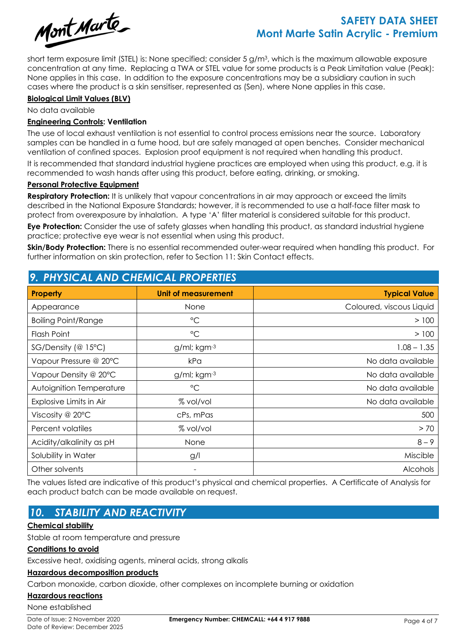

# **SAFETY DATA SHEET Mont Marte Satin Acrylic - Premium**

short term exposure limit (STEL) is: None specified; consider 5 g/m3, which is the maximum allowable exposure concentration at any time. Replacing a TWA or STEL value for some products is a Peak Limitation value (Peak): None applies in this case. In addition to the exposure concentrations may be a subsidiary caution in such cases where the product is a skin sensitiser, represented as (Sen), where None applies in this case.

### **Biological Limit Values (BLV)**

No data available

### **Engineering Controls: Ventilation**

The use of local exhaust ventilation is not essential to control process emissions near the source. Laboratory samples can be handled in a fume hood, but are safely managed at open benches. Consider mechanical ventilation of confined spaces. Explosion proof equipment is not required when handling this product.

It is recommended that standard industrial hygiene practices are employed when using this product, e.g. it is recommended to wash hands after using this product, before eating, drinking, or smoking.

### **Personal Protective Equipment**

**Respiratory Protection:** It is unlikely that vapour concentrations in air may approach or exceed the limits described in the National Exposure Standards; however, it is recommended to use a half-face filter mask to protect from overexposure by inhalation. A type 'A' filter material is considered suitable for this product.

**Eye Protection:** Consider the use of safety glasses when handling this product, as standard industrial hygiene practice; protective eye wear is not essential when using this product.

**Skin/Body Protection:** There is no essential recommended outer-wear required when handling this product. For further information on skin protection, refer to Section 11: Skin Contact effects.

## *9. PHYSICAL AND CHEMICAL PROPERTIES*

| <b>Property</b>            | Unit of measurement | <b>Typical Value</b>     |
|----------------------------|---------------------|--------------------------|
| Appearance                 | None                | Coloured, viscous Liquid |
| <b>Boiling Point/Range</b> | $^{\circ}$ C        | >100                     |
| Flash Point                | $\rm ^{\circ}C$     | > 100                    |
| SG/Density (@ 15°C)        | g/ml; kgm-3         | $1.08 - 1.35$            |
| Vapour Pressure @ 20°C     | kPa                 | No data available        |
| Vapour Density @ 20°C      | g/ml; kgm-3         | No data available        |
| Autoignition Temperature   | $\rm ^{\circ}C$     | No data available        |
| Explosive Limits in Air    | % vol/vol           | No data available        |
| Viscosity @ $20^{\circ}$ C | cPs, mPas           | 500                      |
| Percent volatiles          | % vol/vol           | > 70                     |
| Acidity/alkalinity as pH   | None                | $8 - 9$                  |
| Solubility in Water        | g/l                 | Miscible                 |
| Other solvents             |                     | <b>Alcohols</b>          |

The values listed are indicative of this product's physical and chemical properties. A Certificate of Analysis for each product batch can be made available on request.

# *10. STABILITY AND REACTIVITY*

## **Chemical stability**

Stable at room temperature and pressure

### **Conditions to avoid**

Excessive heat, oxidising agents, mineral acids, strong alkalis

### **Hazardous decomposition products**

Carbon monoxide, carbon dioxide, other complexes on incomplete burning or oxidation

## **Hazardous reactions**

None established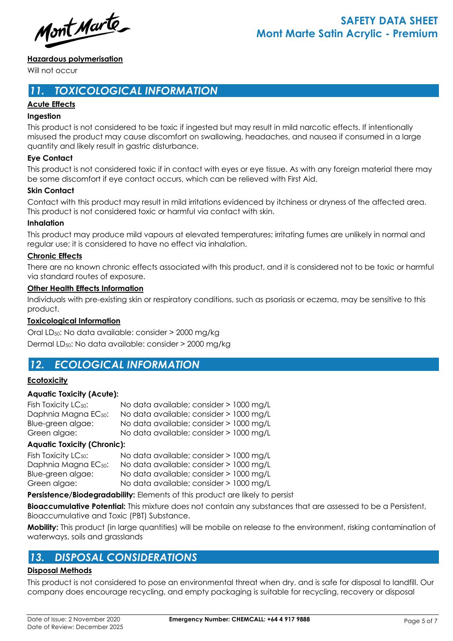Mont Marte

## **Hazardous polymerisation**

Will not occur

# *11. TOXICOLOGICAL INFORMATION*

## **Acute Effects**

### **Ingestion**

This product is not considered to be toxic if ingested but may result in mild narcotic effects. If intentionally misused the product may cause discomfort on swallowing, headaches, and nausea if consumed in a large quantity and likely result in gastric disturbance.

## **Eye Contact**

This product is not considered toxic if in contact with eyes or eye tissue. As with any foreign material there may be some discomfort if eye contact occurs, which can be relieved with First Aid.

## **Skin Contact**

Contact with this product may result in mild irritations evidenced by itchiness or dryness of the affected area. This product is not considered toxic or harmful via contact with skin.

### **Inhalation**

This product may produce mild vapours at elevated temperatures; irritating fumes are unlikely in normal and regular use; it is considered to have no effect via inhalation.

## **Chronic Effects**

There are no known chronic effects associated with this product, and it is considered not to be toxic or harmful via standard routes of exposure.

### **Other Health Effects Information**

Individuals with pre-existing skin or respiratory conditions, such as psoriasis or eczema, may be sensitive to this product.

## **Toxicological Information**

Oral LD50: No data available: consider > 2000 mg/kg Dermal LD50: No data available: consider > 2000 mg/kg

## *12. ECOLOGICAL INFORMATION*

## **Ecotoxicity**

## **Aquatic Toxicity (Acute):**

| Fish Toxicity $LC_{50}$ :        | No data available; consider > 1000 mg/L |
|----------------------------------|-----------------------------------------|
| Daphnia Magna EC <sub>50</sub> : | No data available; consider > 1000 mg/L |
| Blue-green algae:                | No data available; consider > 1000 mg/L |
| Green algae:                     | No data available; consider > 1000 mg/L |

## **Aquatic Toxicity (Chronic):**

| No data available; consider > 1000 mg/L |
|-----------------------------------------|
| No data available; consider > 1000 mg/L |
| No data available; consider > 1000 mg/L |
| No data available; consider > 1000 mg/L |
|                                         |

**Persistence/Biodegradability:** Elements of this product are likely to persist

**Bioaccumulative Potential:** This mixture does not contain any substances that are assessed to be a Persistent, Bioaccumulative and Toxic (PBT) Substance.

**Mobility:** This product (in large quantities) will be mobile on release to the environment, risking contamination of waterways, soils and grasslands

## *13. DISPOSAL CONSIDERATIONS*

### **Disposal Methods**

This product is not considered to pose an environmental threat when dry, and is safe for disposal to landfill. Our company does encourage recycling, and empty packaging is suitable for recycling, recovery or disposal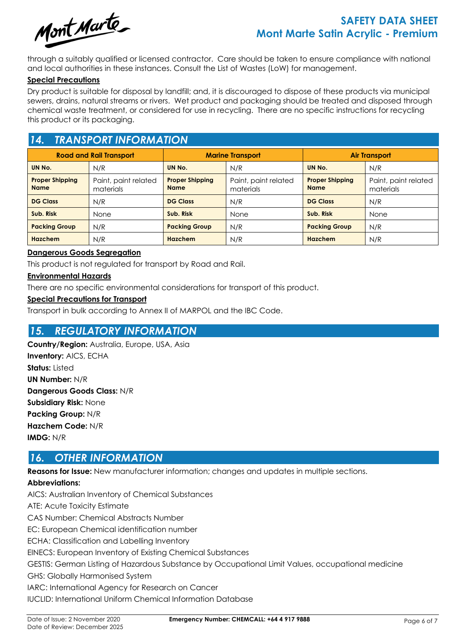

# **SAFETY DATA SHEET Mont Marte Satin Acrylic - Premium**

through a suitably qualified or licensed contractor. Care should be taken to ensure compliance with national and local authorities in these instances. Consult the List of Wastes (LoW) for management.

### **Special Precautions**

Dry product is suitable for disposal by landfill; and, it is discouraged to dispose of these products via municipal sewers, drains, natural streams or rivers. Wet product and packaging should be treated and disposed through chemical waste treatment, or considered for use in recycling. There are no specific instructions for recycling this product or its packaging.

# *14. TRANSPORT INFORMATION*

| <b>Road and Rail Transport</b>        |                                   | <b>Marine Transport</b>               |                                   | <b>Air Transport</b>                  |                                   |
|---------------------------------------|-----------------------------------|---------------------------------------|-----------------------------------|---------------------------------------|-----------------------------------|
| UN No.                                | N/R                               | UN No.                                | N/R                               | UN No.                                | N/R                               |
| <b>Proper Shipping</b><br><b>Name</b> | Paint, paint related<br>materials | <b>Proper Shipping</b><br><b>Name</b> | Paint, paint related<br>materials | <b>Proper Shipping</b><br><b>Name</b> | Paint, paint related<br>materials |
| <b>DG Class</b>                       | N/R                               | <b>DG Class</b>                       | N/R                               | <b>DG Class</b>                       | N/R                               |
| Sub. Risk                             | None                              | Sub. Risk                             | None                              | Sub. Risk                             | <b>None</b>                       |
| <b>Packing Group</b>                  | N/R                               | <b>Packing Group</b>                  | N/R                               | <b>Packing Group</b>                  | N/R                               |
| <b>Hazchem</b>                        | N/R                               | Hazchem                               | N/R                               | Hazchem                               | N/R                               |

### **Dangerous Goods Segregation**

This product is not regulated for transport by Road and Rail.

### **Environmental Hazards**

There are no specific environmental considerations for transport of this product.

### **Special Precautions for Transport**

Transport in bulk according to Annex II of MARPOL and the IBC Code.

## *15. REGULATORY INFORMATION*

**Country/Region:** Australia, Europe, USA, Asia **Inventory:** AICS, ECHA **Status:** Listed **UN Number:** N/R **Dangerous Goods Class:** N/R **Subsidiary Risk:** None **Packing Group:** N/R **Hazchem Code:** N/R **IMDG:** N/R

## *16. OTHER INFORMATION*

**Reasons for Issue:** New manufacturer information; changes and updates in multiple sections.

## **Abbreviations:**

AICS: Australian Inventory of Chemical Substances ATE: Acute Toxicity Estimate CAS Number: Chemical Abstracts Number EC: European Chemical identification number ECHA: Classification and Labelling Inventory EINECS: European Inventory of Existing Chemical Substances GESTIS: German Listing of Hazardous Substance by Occupational Limit Values, occupational medicine GHS: Globally Harmonised System IARC: International Agency for Research on Cancer IUCLID: International Uniform Chemical Information Database